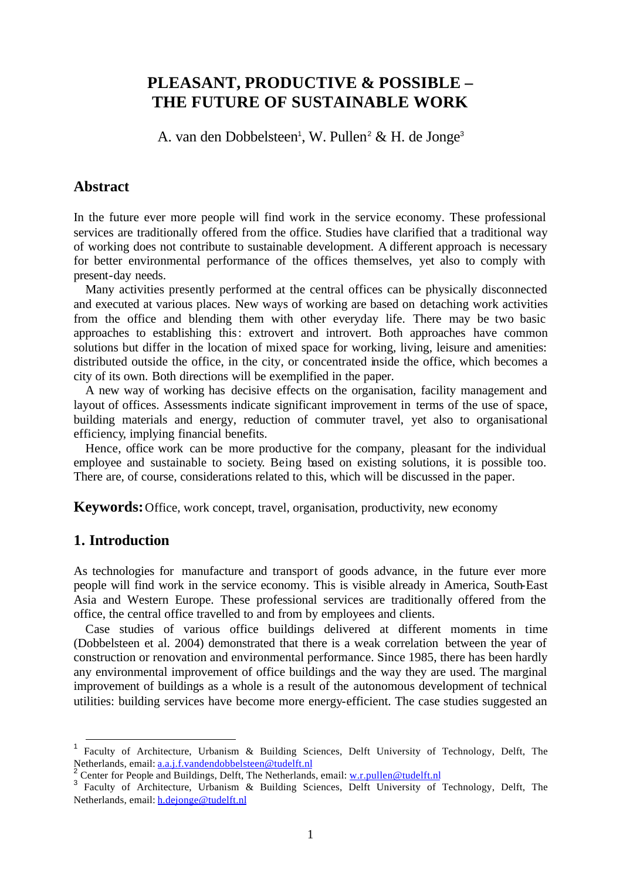# **PLEASANT, PRODUCTIVE & POSSIBLE – THE FUTURE OF SUSTAINABLE WORK**

A. van den Dobbelsteen<sup>1</sup>, W. Pullen<sup>2</sup> & H. de Jonge<sup>3</sup>

# **Abstract**

In the future ever more people will find work in the service economy. These professional services are traditionally offered from the office. Studies have clarified that a traditional way of working does not contribute to sustainable development. A different approach is necessary for better environmental performance of the offices themselves, yet also to comply with present-day needs.

Many activities presently performed at the central offices can be physically disconnected and executed at various places. New ways of working are based on detaching work activities from the office and blending them with other everyday life. There may be two basic approaches to establishing this: extrovert and introvert. Both approaches have common solutions but differ in the location of mixed space for working, living, leisure and amenities: distributed outside the office, in the city, or concentrated inside the office, which becomes a city of its own. Both directions will be exemplified in the paper.

A new way of working has decisive effects on the organisation, facility management and layout of offices. Assessments indicate significant improvement in terms of the use of space, building materials and energy, reduction of commuter travel, yet also to organisational efficiency, implying financial benefits.

Hence, office work can be more productive for the company, pleasant for the individual employee and sustainable to society. Being based on existing solutions, it is possible too. There are, of course, considerations related to this, which will be discussed in the paper.

**Keywords:** Office, work concept, travel, organisation, productivity, new economy

# **1. Introduction**

l

As technologies for manufacture and transport of goods advance, in the future ever more people will find work in the service economy. This is visible already in America, South-East Asia and Western Europe. These professional services are traditionally offered from the office, the central office travelled to and from by employees and clients.

Case studies of various office buildings delivered at different moments in time (Dobbelsteen et al. 2004) demonstrated that there is a weak correlation between the year of construction or renovation and environmental performance. Since 1985, there has been hardly any environmental improvement of office buildings and the way they are used. The marginal improvement of buildings as a whole is a result of the autonomous development of technical utilities: building services have become more energy-efficient. The case studies suggested an

<sup>1</sup> Faculty of Architecture, Urbanism & Building Sciences, Delft University of Technology, Delft, The Netherlands, email: <u>a.a.j.f.vandendobbelsteen@tudelft.nl</u><br>2 Center for People and Buildings, Delft, The Netherlands, email: <u>w.r.pullen@tudelft.nl</u>

<sup>&</sup>lt;sup>3</sup> Faculty of Architecture, Urbanism & Building Sciences, Delft University of Technology, Delft, The Netherlands, email: h.dejonge@tudelft.nl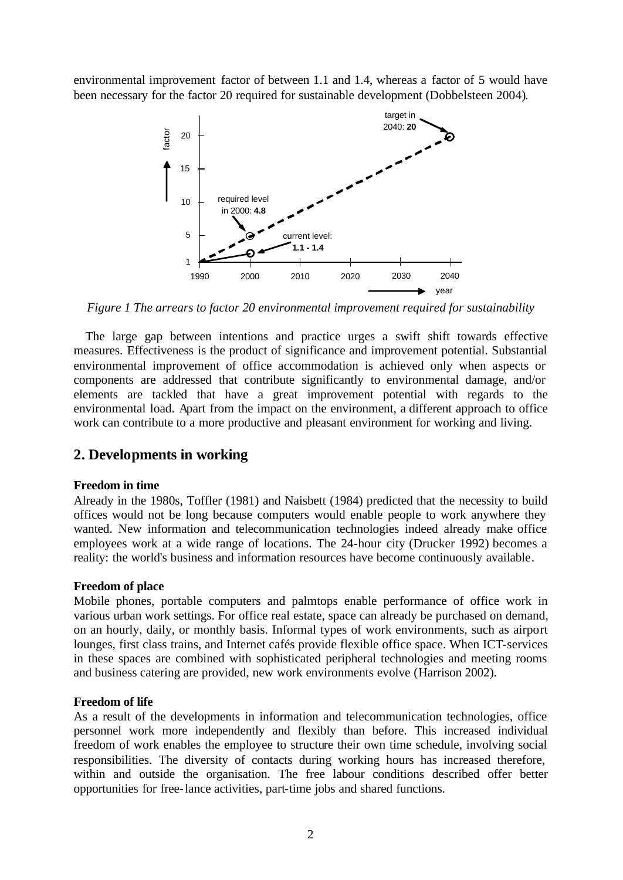environmental improvement factor of between 1.1 and 1.4, whereas a factor of 5 would have been necessary for the factor 20 required for sustainable development (Dobbelsteen 2004).



*Figure 1 The arrears to factor 20 environmental improvement required for sustainability*

The large gap between intentions and practice urges a swift shift towards effective measures. Effectiveness is the product of significance and improvement potential. Substantial environmental improvement of office accommodation is achieved only when aspects or components are addressed that contribute significantly to environmental damage, and/or elements are tackled that have a great improvement potential with regards to the environmental load. Apart from the impact on the environment, a different approach to office work can contribute to a more productive and pleasant environment for working and living.

# **2. Developments in working**

#### **Freedom in time**

Already in the 1980s, Toffler (1981) and Naisbett (1984) predicted that the necessity to build offices would not be long because computers would enable people to work anywhere they wanted. New information and telecommunication technologies indeed already make office employees work at a wide range of locations. The 24-hour city (Drucker 1992) becomes a reality: the world's business and information resources have become continuously available.

#### **Freedom of place**

Mobile phones, portable computers and palmtops enable performance of office work in various urban work settings. For office real estate, space can already be purchased on demand, on an hourly, daily, or monthly basis. Informal types of work environments, such as airport lounges, first class trains, and Internet cafés provide flexible office space. When ICT-services in these spaces are combined with sophisticated peripheral technologies and meeting rooms and business catering are provided, new work environments evolve (Harrison 2002).

#### **Freedom of life**

As a result of the developments in information and telecommunication technologies, office personnel work more independently and flexibly than before. This increased individual freedom of work enables the employee to structure their own time schedule, involving social responsibilities. The diversity of contacts during working hours has increased therefore, within and outside the organisation. The free labour conditions described offer better opportunities for free-lance activities, part-time jobs and shared functions.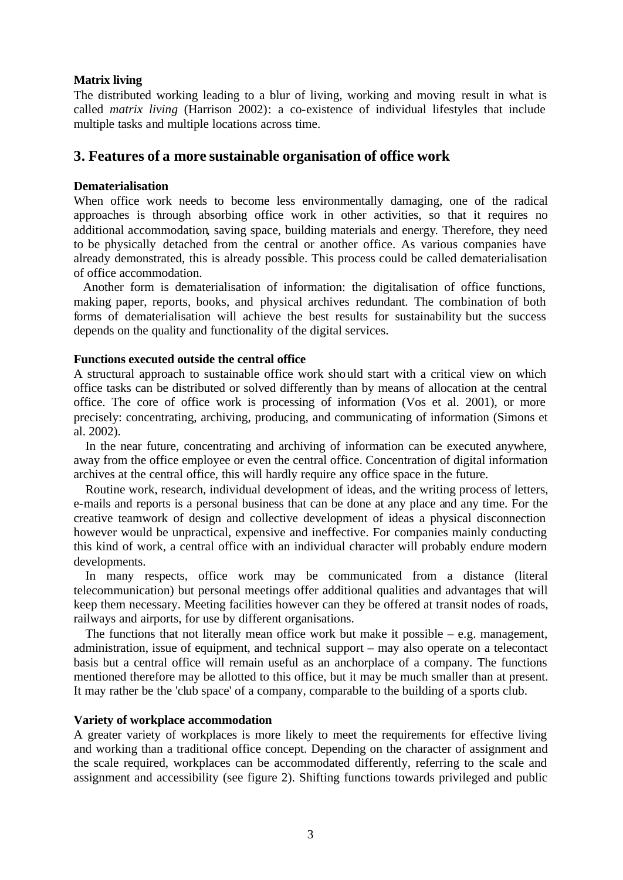### **Matrix living**

The distributed working leading to a blur of living, working and moving result in what is called *matrix living* (Harrison 2002): a co-existence of individual lifestyles that include multiple tasks and multiple locations across time.

# **3. Features of a more sustainable organisation of office work**

#### **Dematerialisation**

When office work needs to become less environmentally damaging, one of the radical approaches is through absorbing office work in other activities, so that it requires no additional accommodation, saving space, building materials and energy. Therefore, they need to be physically detached from the central or another office. As various companies have already demonstrated, this is already possible. This process could be called dematerialisation of office accommodation.

Another form is dematerialisation of information: the digitalisation of office functions, making paper, reports, books, and physical archives redundant. The combination of both forms of dematerialisation will achieve the best results for sustainability but the success depends on the quality and functionality of the digital services.

#### **Functions executed outside the central office**

A structural approach to sustainable office work should start with a critical view on which office tasks can be distributed or solved differently than by means of allocation at the central office. The core of office work is processing of information (Vos et al. 2001), or more precisely: concentrating, archiving, producing, and communicating of information (Simons et al. 2002).

In the near future, concentrating and archiving of information can be executed anywhere, away from the office employee or even the central office. Concentration of digital information archives at the central office, this will hardly require any office space in the future.

Routine work, research, individual development of ideas, and the writing process of letters, e-mails and reports is a personal business that can be done at any place and any time. For the creative teamwork of design and collective development of ideas a physical disconnection however would be unpractical, expensive and ineffective. For companies mainly conducting this kind of work, a central office with an individual character will probably endure modern developments.

In many respects, office work may be communicated from a distance (literal telecommunication) but personal meetings offer additional qualities and advantages that will keep them necessary. Meeting facilities however can they be offered at transit nodes of roads, railways and airports, for use by different organisations.

The functions that not literally mean office work but make it possible  $-$  e.g. management, administration, issue of equipment, and technical support – may also operate on a telecontact basis but a central office will remain useful as an anchorplace of a company. The functions mentioned therefore may be allotted to this office, but it may be much smaller than at present. It may rather be the 'club space' of a company, comparable to the building of a sports club.

### **Variety of workplace accommodation**

A greater variety of workplaces is more likely to meet the requirements for effective living and working than a traditional office concept. Depending on the character of assignment and the scale required, workplaces can be accommodated differently, referring to the scale and assignment and accessibility (see figure 2). Shifting functions towards privileged and public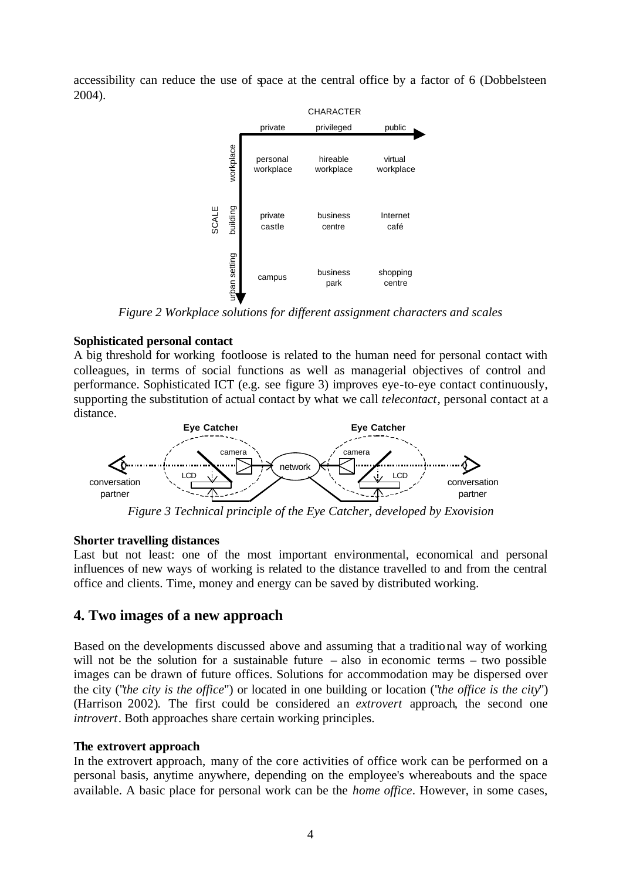accessibility can reduce the use of space at the central office by a factor of 6 (Dobbelsteen 2004).



*Figure 2 Workplace solutions for different assignment characters and scales*

### **Sophisticated personal contact**

A big threshold for working footloose is related to the human need for personal contact with colleagues, in terms of social functions as well as managerial objectives of control and performance. Sophisticated ICT (e.g. see figure 3) improves eye-to-eye contact continuously, supporting the substitution of actual contact by what we call *telecontact*, personal contact at a distance.



*Figure 3 Technical principle of the Eye Catcher, developed by Exovision*

### **Shorter travelling distances**

Last but not least: one of the most important environmental, economical and personal influences of new ways of working is related to the distance travelled to and from the central office and clients. Time, money and energy can be saved by distributed working.

# **4. Two images of a new approach**

Based on the developments discussed above and assuming that a traditional way of working will not be the solution for a sustainable future – also in economic terms – two possible images can be drawn of future offices. Solutions for accommodation may be dispersed over the city ("*the city is the office*") or located in one building or location ("*the office is the city*") (Harrison 2002). The first could be considered an *extrovert* approach, the second one *introvert*. Both approaches share certain working principles.

# **The extrovert approach**

In the extrovert approach, many of the core activities of office work can be performed on a personal basis, anytime anywhere, depending on the employee's whereabouts and the space available. A basic place for personal work can be the *home office*. However, in some cases,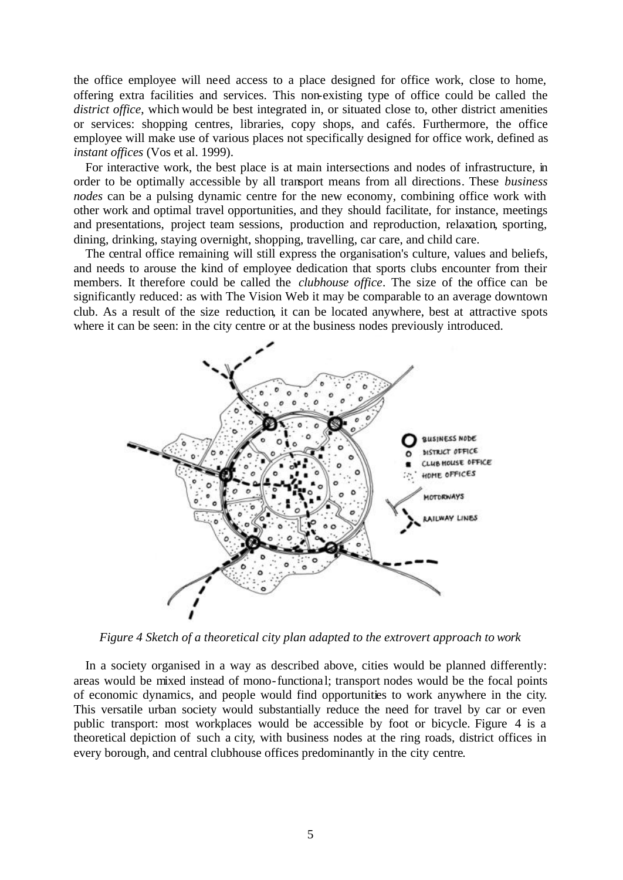the office employee will need access to a place designed for office work, close to home, offering extra facilities and services. This non-existing type of office could be called the *district office*, which would be best integrated in, or situated close to, other district amenities or services: shopping centres, libraries, copy shops, and cafés. Furthermore, the office employee will make use of various places not specifically designed for office work, defined as *instant offices* (Vos et al. 1999).

For interactive work, the best place is at main intersections and nodes of infrastructure, in order to be optimally accessible by all transport means from all directions. These *business nodes* can be a pulsing dynamic centre for the new economy, combining office work with other work and optimal travel opportunities, and they should facilitate, for instance, meetings and presentations, project team sessions, production and reproduction, relaxation, sporting, dining, drinking, staying overnight, shopping, travelling, car care, and child care.

The central office remaining will still express the organisation's culture, values and beliefs, and needs to arouse the kind of employee dedication that sports clubs encounter from their members. It therefore could be called the *clubhouse office*. The size of the office can be significantly reduced: as with The Vision Web it may be comparable to an average downtown club. As a result of the size reduction, it can be located anywhere, best at attractive spots where it can be seen: in the city centre or at the business nodes previously introduced.



*Figure 4 Sketch of a theoretical city plan adapted to the extrovert approach to work*

In a society organised in a way as described above, cities would be planned differently: areas would be mixed instead of mono-functional; transport nodes would be the focal points of economic dynamics, and people would find opportunities to work anywhere in the city. This versatile urban society would substantially reduce the need for travel by car or even public transport: most workplaces would be accessible by foot or bicycle. Figure 4 is a theoretical depiction of such a city, with business nodes at the ring roads, district offices in every borough, and central clubhouse offices predominantly in the city centre.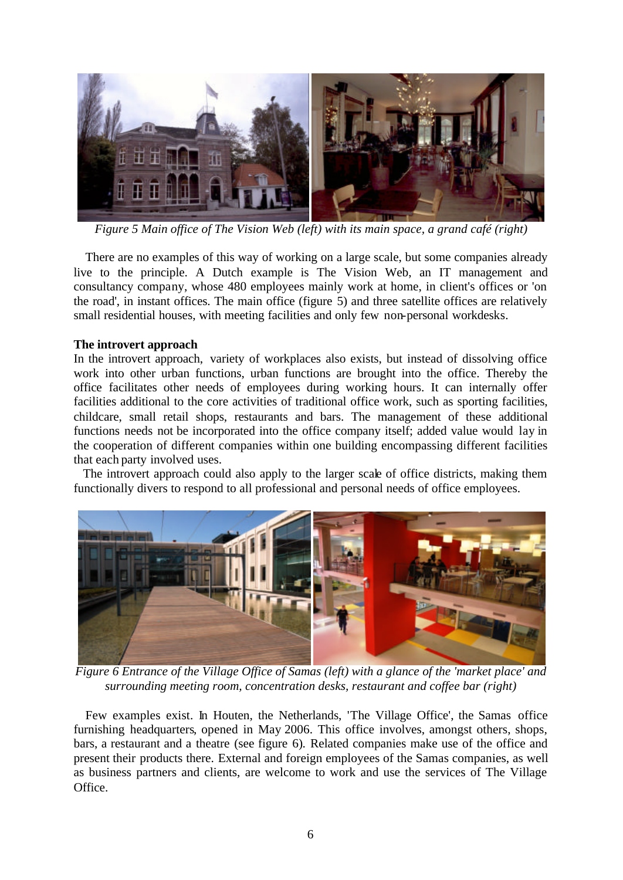

*Figure 5 Main office of The Vision Web (left) with its main space, a grand café (right)*

There are no examples of this way of working on a large scale, but some companies already live to the principle. A Dutch example is The Vision Web, an IT management and consultancy company, whose 480 employees mainly work at home, in client's offices or 'on the road', in instant offices. The main office (figure 5) and three satellite offices are relatively small residential houses, with meeting facilities and only few non-personal workdesks.

# **The introvert approach**

In the introvert approach, variety of workplaces also exists, but instead of dissolving office work into other urban functions, urban functions are brought into the office. Thereby the office facilitates other needs of employees during working hours. It can internally offer facilities additional to the core activities of traditional office work, such as sporting facilities, childcare, small retail shops, restaurants and bars. The management of these additional functions needs not be incorporated into the office company itself; added value would lay in the cooperation of different companies within one building encompassing different facilities that each party involved uses.

The introvert approach could also apply to the larger scale of office districts, making them functionally divers to respond to all professional and personal needs of office employees.



*Figure 6 Entrance of the Village Office of Samas (left) with a glance of the 'market place' and surrounding meeting room, concentration desks, restaurant and coffee bar (right)*

Few examples exist. In Houten, the Netherlands, 'The Village Office', the Samas office furnishing headquarters, opened in May 2006. This office involves, amongst others, shops, bars, a restaurant and a theatre (see figure 6). Related companies make use of the office and present their products there. External and foreign employees of the Samas companies, as well as business partners and clients, are welcome to work and use the services of The Village Office.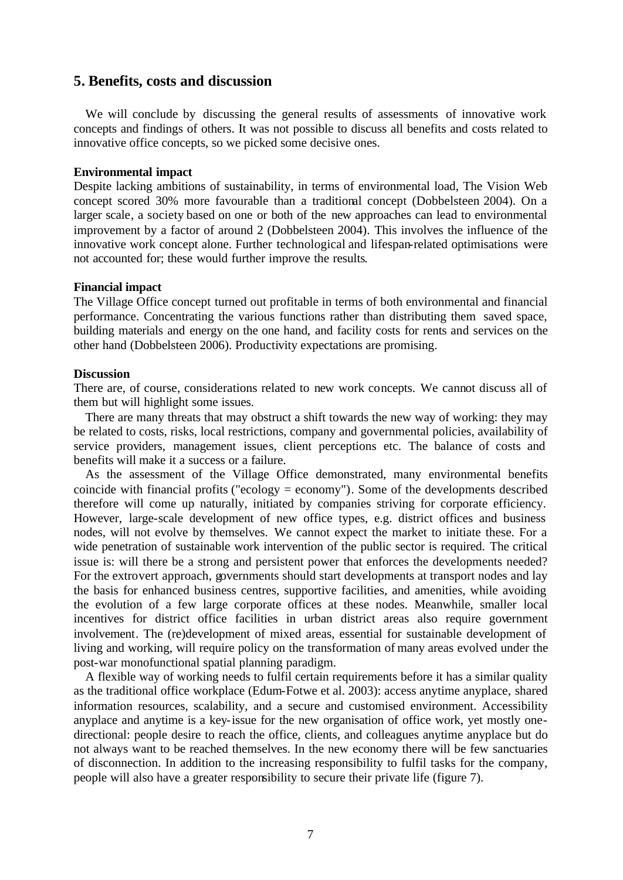# **5. Benefits, costs and discussion**

We will conclude by discussing the general results of assessments of innovative work concepts and findings of others. It was not possible to discuss all benefits and costs related to innovative office concepts, so we picked some decisive ones.

### **Environmental impact**

Despite lacking ambitions of sustainability, in terms of environmental load, The Vision Web concept scored 30% more favourable than a traditional concept (Dobbelsteen 2004). On a larger scale, a society based on one or both of the new approaches can lead to environmental improvement by a factor of around 2 (Dobbelsteen 2004). This involves the influence of the innovative work concept alone. Further technological and lifespan-related optimisations were not accounted for; these would further improve the results.

#### **Financial impact**

The Village Office concept turned out profitable in terms of both environmental and financial performance. Concentrating the various functions rather than distributing them saved space, building materials and energy on the one hand, and facility costs for rents and services on the other hand (Dobbelsteen 2006). Productivity expectations are promising.

### **Discussion**

There are, of course, considerations related to new work concepts. We cannot discuss all of them but will highlight some issues.

There are many threats that may obstruct a shift towards the new way of working: they may be related to costs, risks, local restrictions, company and governmental policies, availability of service providers, management issues, client perceptions etc. The balance of costs and benefits will make it a success or a failure.

As the assessment of the Village Office demonstrated, many environmental benefits coincide with financial profits ("ecology = economy"). Some of the developments described therefore will come up naturally, initiated by companies striving for corporate efficiency. However, large-scale development of new office types, e.g. district offices and business nodes, will not evolve by themselves. We cannot expect the market to initiate these. For a wide penetration of sustainable work intervention of the public sector is required. The critical issue is: will there be a strong and persistent power that enforces the developments needed? For the extrovert approach, governments should start developments at transport nodes and lay the basis for enhanced business centres, supportive facilities, and amenities, while avoiding the evolution of a few large corporate offices at these nodes. Meanwhile, smaller local incentives for district office facilities in urban district areas also require government involvement. The (re)development of mixed areas, essential for sustainable development of living and working, will require policy on the transformation of many areas evolved under the post-war monofunctional spatial planning paradigm.

A flexible way of working needs to fulfil certain requirements before it has a similar quality as the traditional office workplace (Edum-Fotwe et al. 2003): access anytime anyplace, shared information resources, scalability, and a secure and customised environment. Accessibility anyplace and anytime is a key-issue for the new organisation of office work, yet mostly onedirectional: people desire to reach the office, clients, and colleagues anytime anyplace but do not always want to be reached themselves. In the new economy there will be few sanctuaries of disconnection. In addition to the increasing responsibility to fulfil tasks for the company, people will also have a greater responsibility to secure their private life (figure 7).